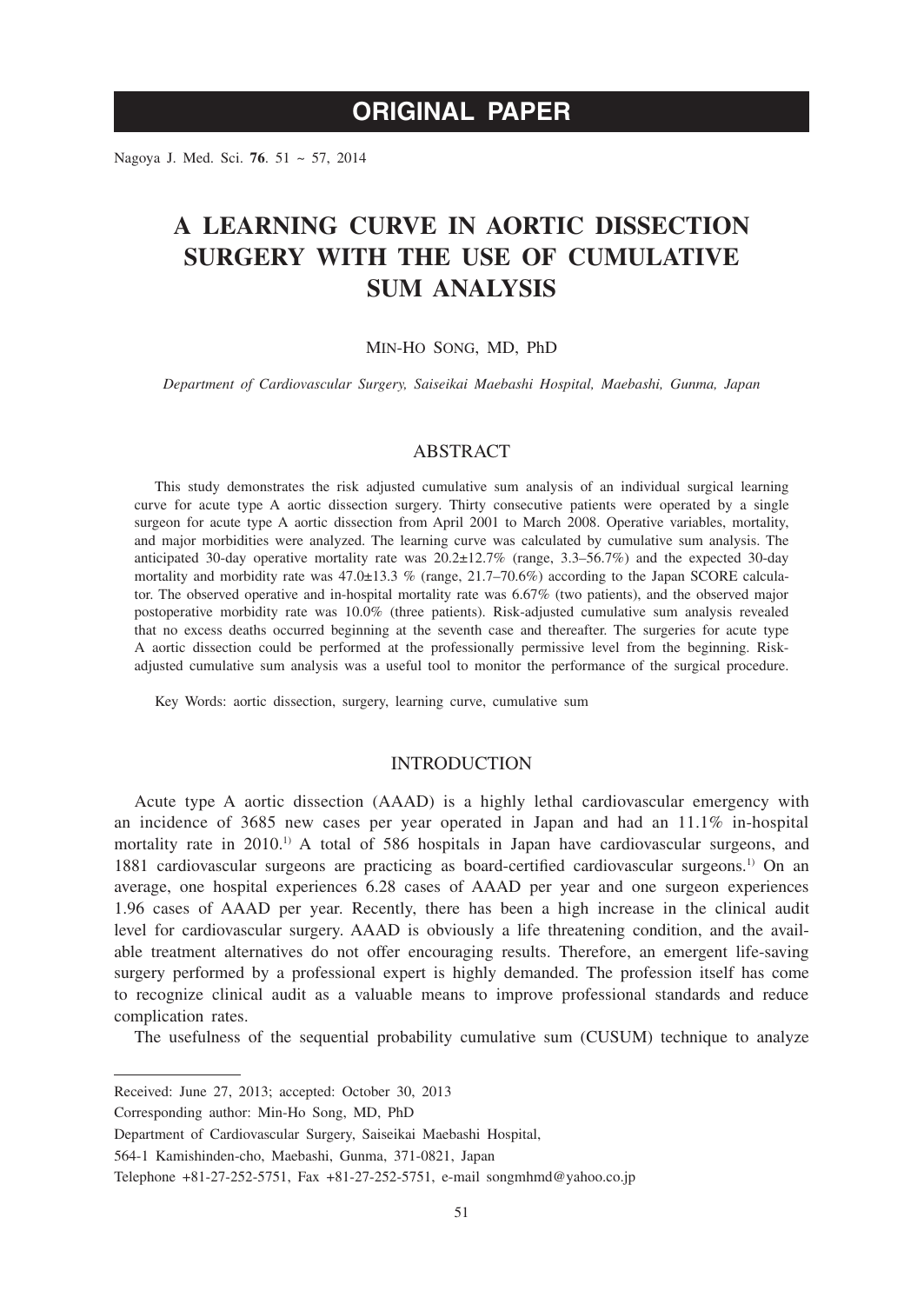# **ORIGINAL PAPER**

Nagoya J. Med. Sci. **76**. 51 ~ 57, 2014

# **A LEARNING CURVE IN AORTIC DISSECTION SURGERY WITH THE USE OF CUMULATIVE SUM ANALYSIS**

### MIN-HO SONG, MD, PhD

*Department of Cardiovascular Surgery, Saiseikai Maebashi Hospital, Maebashi, Gunma, Japan*

## ABSTRACT

This study demonstrates the risk adjusted cumulative sum analysis of an individual surgical learning curve for acute type A aortic dissection surgery. Thirty consecutive patients were operated by a single surgeon for acute type A aortic dissection from April 2001 to March 2008. Operative variables, mortality, and major morbidities were analyzed. The learning curve was calculated by cumulative sum analysis. The anticipated 30-day operative mortality rate was 20.2±12.7% (range, 3.3–56.7%) and the expected 30-day mortality and morbidity rate was  $47.0 \pm 13.3$  % (range,  $21.7-70.6$ %) according to the Japan SCORE calculator. The observed operative and in-hospital mortality rate was 6.67% (two patients), and the observed major postoperative morbidity rate was 10.0% (three patients). Risk-adjusted cumulative sum analysis revealed that no excess deaths occurred beginning at the seventh case and thereafter. The surgeries for acute type A aortic dissection could be performed at the professionally permissive level from the beginning. Riskadjusted cumulative sum analysis was a useful tool to monitor the performance of the surgical procedure.

Key Words: aortic dissection, surgery, learning curve, cumulative sum

## INTRODUCTION

Acute type A aortic dissection (AAAD) is a highly lethal cardiovascular emergency with an incidence of 3685 new cases per year operated in Japan and had an 11.1% in-hospital mortality rate in  $2010^{1}$ . A total of 586 hospitals in Japan have cardiovascular surgeons, and 1881 cardiovascular surgeons are practicing as board-certified cardiovascular surgeons.1) On an average, one hospital experiences 6.28 cases of AAAD per year and one surgeon experiences 1.96 cases of AAAD per year. Recently, there has been a high increase in the clinical audit level for cardiovascular surgery. AAAD is obviously a life threatening condition, and the available treatment alternatives do not offer encouraging results. Therefore, an emergent life-saving surgery performed by a professional expert is highly demanded. The profession itself has come to recognize clinical audit as a valuable means to improve professional standards and reduce complication rates.

The usefulness of the sequential probability cumulative sum (CUSUM) technique to analyze

Received: June 27, 2013; accepted: October 30, 2013

Corresponding author: Min-Ho Song, MD, PhD

Department of Cardiovascular Surgery, Saiseikai Maebashi Hospital,

<sup>564-1</sup> Kamishinden-cho, Maebashi, Gunma, 371-0821, Japan

Telephone +81-27-252-5751, Fax +81-27-252-5751, e-mail songmhmd@yahoo.co.jp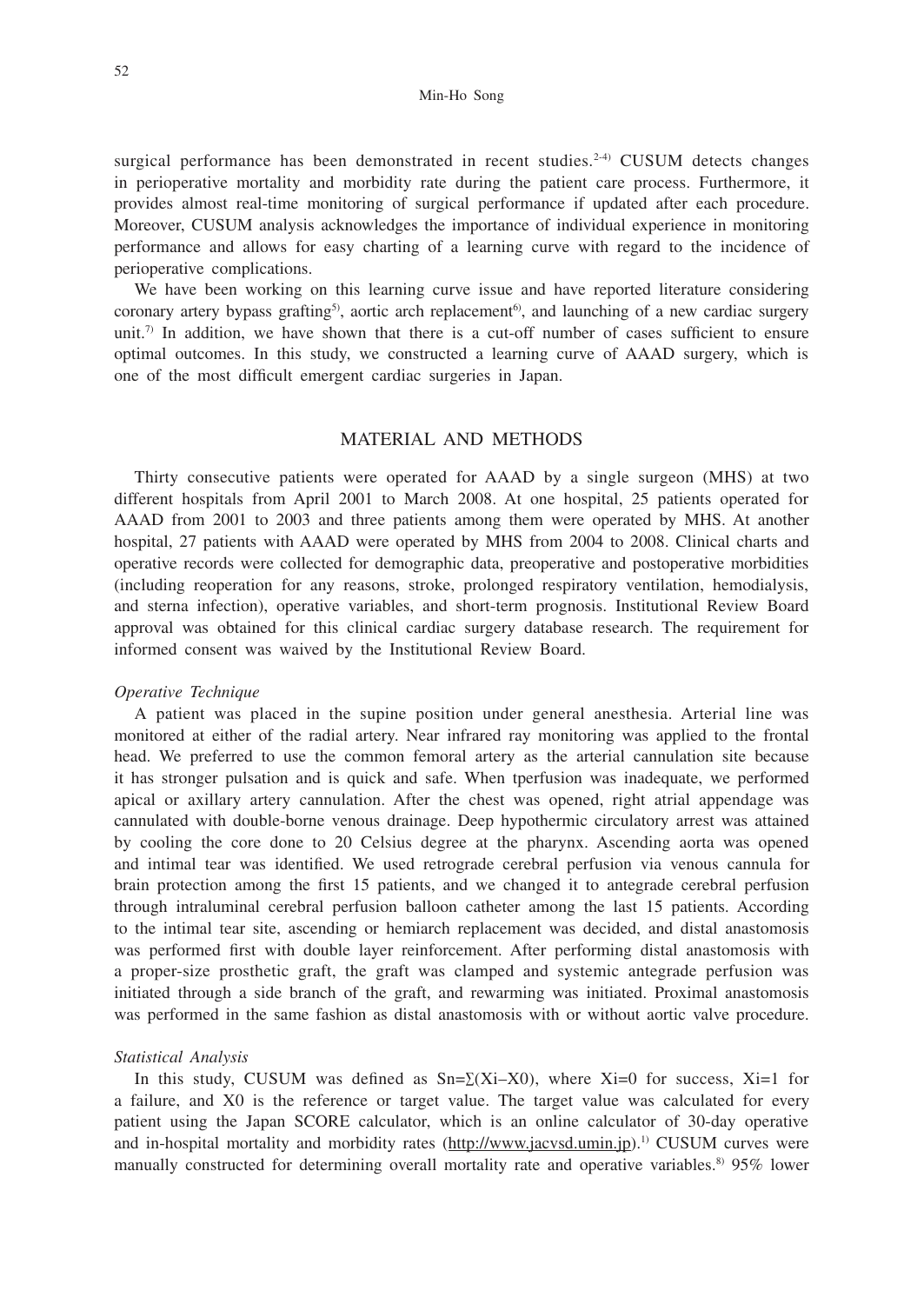### Min-Ho Song

surgical performance has been demonstrated in recent studies.<sup>2-4)</sup> CUSUM detects changes in perioperative mortality and morbidity rate during the patient care process. Furthermore, it provides almost real-time monitoring of surgical performance if updated after each procedure. Moreover, CUSUM analysis acknowledges the importance of individual experience in monitoring performance and allows for easy charting of a learning curve with regard to the incidence of perioperative complications.

We have been working on this learning curve issue and have reported literature considering coronary artery bypass grafting<sup>5</sup>), aortic arch replacement<sup>6</sup>), and launching of a new cardiac surgery unit.<sup>7)</sup> In addition, we have shown that there is a cut-off number of cases sufficient to ensure optimal outcomes. In this study, we constructed a learning curve of AAAD surgery, which is one of the most difficult emergent cardiac surgeries in Japan.

## MATERIAL AND METHODS

Thirty consecutive patients were operated for AAAD by a single surgeon (MHS) at two different hospitals from April 2001 to March 2008. At one hospital, 25 patients operated for AAAD from 2001 to 2003 and three patients among them were operated by MHS. At another hospital, 27 patients with AAAD were operated by MHS from 2004 to 2008. Clinical charts and operative records were collected for demographic data, preoperative and postoperative morbidities (including reoperation for any reasons, stroke, prolonged respiratory ventilation, hemodialysis, and sterna infection), operative variables, and short-term prognosis. Institutional Review Board approval was obtained for this clinical cardiac surgery database research. The requirement for informed consent was waived by the Institutional Review Board.

### *Operative Technique*

A patient was placed in the supine position under general anesthesia. Arterial line was monitored at either of the radial artery. Near infrared ray monitoring was applied to the frontal head. We preferred to use the common femoral artery as the arterial cannulation site because it has stronger pulsation and is quick and safe. When tperfusion was inadequate, we performed apical or axillary artery cannulation. After the chest was opened, right atrial appendage was cannulated with double-borne venous drainage. Deep hypothermic circulatory arrest was attained by cooling the core done to 20 Celsius degree at the pharynx. Ascending aorta was opened and intimal tear was identified. We used retrograde cerebral perfusion via venous cannula for brain protection among the first 15 patients, and we changed it to antegrade cerebral perfusion through intraluminal cerebral perfusion balloon catheter among the last 15 patients. According to the intimal tear site, ascending or hemiarch replacement was decided, and distal anastomosis was performed first with double layer reinforcement. After performing distal anastomosis with a proper-size prosthetic graft, the graft was clamped and systemic antegrade perfusion was initiated through a side branch of the graft, and rewarming was initiated. Proximal anastomosis was performed in the same fashion as distal anastomosis with or without aortic valve procedure.

## *Statistical Analysis*

In this study, CUSUM was defined as  $Sn = \Sigma(Xi-X0)$ , where Xi=0 for success, Xi=1 for a failure, and X0 is the reference or target value. The target value was calculated for every patient using the Japan SCORE calculator, which is an online calculator of 30-day operative and in-hospital mortality and morbidity rates (http://www.jacvsd.umin.jp).<sup>1)</sup> CUSUM curves were manually constructed for determining overall mortality rate and operative variables.<sup>8)</sup> 95% lower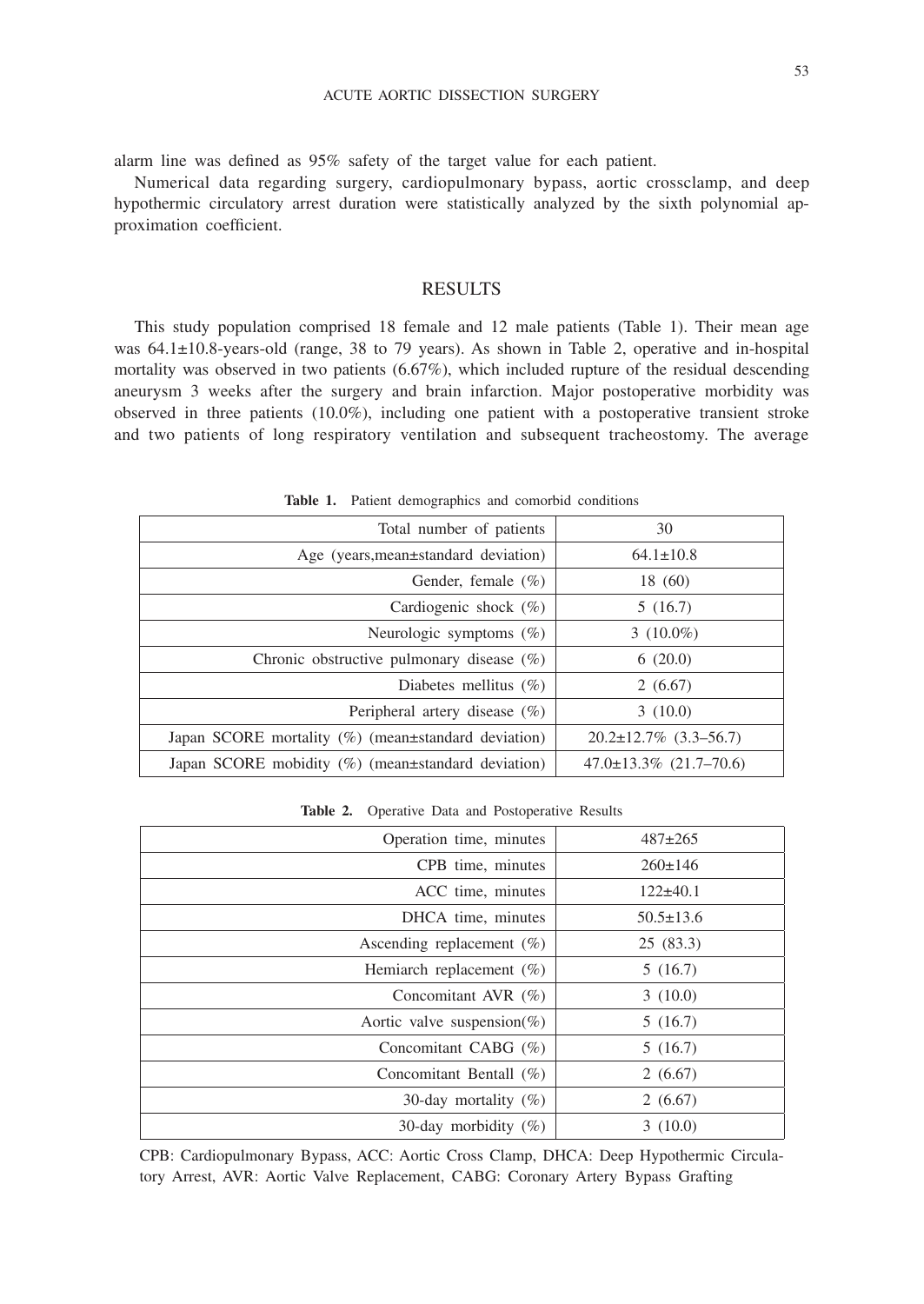alarm line was defined as 95% safety of the target value for each patient.

Numerical data regarding surgery, cardiopulmonary bypass, aortic crossclamp, and deep hypothermic circulatory arrest duration were statistically analyzed by the sixth polynomial approximation coefficient.

# RESULTS

This study population comprised 18 female and 12 male patients (Table 1). Their mean age was 64.1±10.8-years-old (range, 38 to 79 years). As shown in Table 2, operative and in-hospital mortality was observed in two patients (6.67%), which included rupture of the residual descending aneurysm 3 weeks after the surgery and brain infarction. Major postoperative morbidity was observed in three patients (10.0%), including one patient with a postoperative transient stroke and two patients of long respiratory ventilation and subsequent tracheostomy. The average

| Total number of patients                                     | 30                                |
|--------------------------------------------------------------|-----------------------------------|
| Age (years, mean±standard deviation)                         | $64.1 \pm 10.8$                   |
| Gender, female $(\% )$                                       | 18 (60)                           |
| Cardiogenic shock $(\%)$                                     | 5(16.7)                           |
| Neurologic symptoms $(\%)$                                   | 3 $(10.0\%)$                      |
| Chronic obstructive pulmonary disease $(\%)$                 | 6(20.0)                           |
| Diabetes mellitus $(\%)$                                     | 2(6.67)                           |
| Peripheral artery disease $(\%)$                             | 3(10.0)                           |
| Japan SCORE mortality $(\%)$ (mean $\pm$ standard deviation) | $20.2 \pm 12.7\%$ (3.3–56.7)      |
| Japan SCORE mobidity $(\%)$ (mean $\pm$ standard deviation)  | $47.0 \pm 13.3\%$ $(21.7 - 70.6)$ |

Table 1. Patient demographics and comorbid conditions

**Table 2.** Operative Data and Postoperative Results

| Operation time, minutes      | $487 \pm 265$   |
|------------------------------|-----------------|
| CPB time, minutes            | $260 \pm 146$   |
| ACC time, minutes            | $122\pm 40.1$   |
| DHCA time, minutes           | $50.5 \pm 13.6$ |
| Ascending replacement $(\%)$ | 25(83.3)        |
| Hemiarch replacement $(\%)$  | 5(16.7)         |
| Concomitant AVR $(\% )$      | 3(10.0)         |
| Aortic valve suspension(%)   | 5(16.7)         |
| Concomitant CABG $(\%)$      | 5(16.7)         |
| Concomitant Bentall $(\%)$   | 2(6.67)         |
| 30-day mortality $(\%)$      | 2(6.67)         |
| 30-day morbidity $(\%)$      | 3(10.0)         |

CPB: Cardiopulmonary Bypass, ACC: Aortic Cross Clamp, DHCA: Deep Hypothermic Circulatory Arrest, AVR: Aortic Valve Replacement, CABG: Coronary Artery Bypass Grafting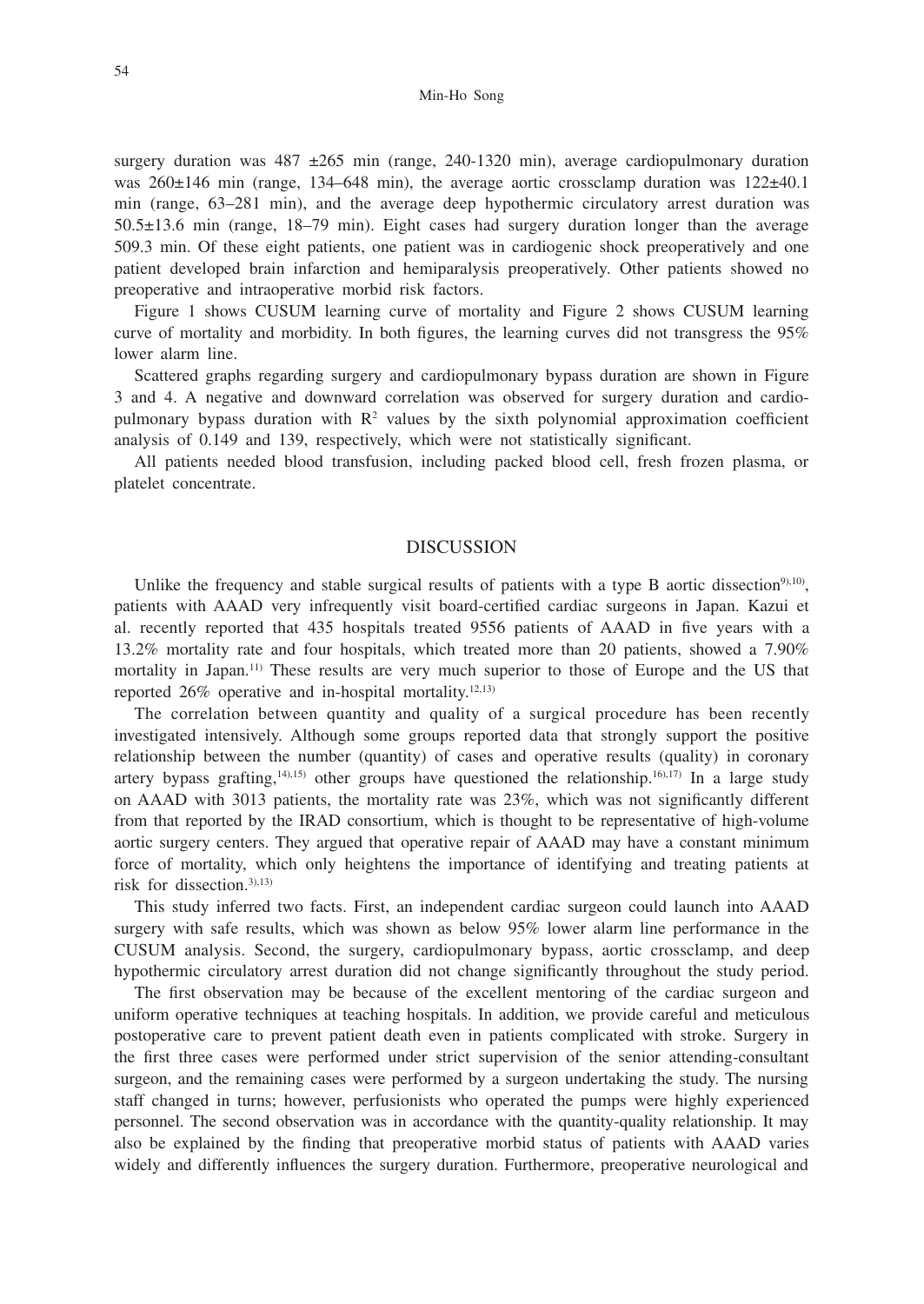surgery duration was  $487 \pm 265$  min (range, 240-1320 min), average cardiopulmonary duration was 260±146 min (range, 134–648 min), the average aortic crossclamp duration was 122±40.1 min (range, 63–281 min), and the average deep hypothermic circulatory arrest duration was 50.5±13.6 min (range, 18–79 min). Eight cases had surgery duration longer than the average 509.3 min. Of these eight patients, one patient was in cardiogenic shock preoperatively and one patient developed brain infarction and hemiparalysis preoperatively. Other patients showed no preoperative and intraoperative morbid risk factors.

Figure 1 shows CUSUM learning curve of mortality and Figure 2 shows CUSUM learning curve of mortality and morbidity. In both figures, the learning curves did not transgress the 95% lower alarm line.

Scattered graphs regarding surgery and cardiopulmonary bypass duration are shown in Figure 3 and 4. A negative and downward correlation was observed for surgery duration and cardiopulmonary bypass duration with  $\mathbb{R}^2$  values by the sixth polynomial approximation coefficient analysis of 0.149 and 139, respectively, which were not statistically significant.

All patients needed blood transfusion, including packed blood cell, fresh frozen plasma, or platelet concentrate.

## **DISCUSSION**

Unlike the frequency and stable surgical results of patients with a type B aortic dissection<sup>9),10</sup>), patients with AAAD very infrequently visit board-certified cardiac surgeons in Japan. Kazui et al. recently reported that 435 hospitals treated 9556 patients of AAAD in five years with a 13.2% mortality rate and four hospitals, which treated more than 20 patients, showed a 7.90% mortality in Japan.<sup>11)</sup> These results are very much superior to those of Europe and the US that reported  $26\%$  operative and in-hospital mortality.<sup>12,13)</sup>

The correlation between quantity and quality of a surgical procedure has been recently investigated intensively. Although some groups reported data that strongly support the positive relationship between the number (quantity) of cases and operative results (quality) in coronary artery bypass grafting,<sup>14),15</sup>) other groups have questioned the relationship.<sup>16),17)</sup> In a large study on AAAD with 3013 patients, the mortality rate was 23%, which was not significantly different from that reported by the IRAD consortium, which is thought to be representative of high-volume aortic surgery centers. They argued that operative repair of AAAD may have a constant minimum force of mortality, which only heightens the importance of identifying and treating patients at risk for dissection.3),13)

This study inferred two facts. First, an independent cardiac surgeon could launch into AAAD surgery with safe results, which was shown as below 95% lower alarm line performance in the CUSUM analysis. Second, the surgery, cardiopulmonary bypass, aortic crossclamp, and deep hypothermic circulatory arrest duration did not change significantly throughout the study period.

The first observation may be because of the excellent mentoring of the cardiac surgeon and uniform operative techniques at teaching hospitals. In addition, we provide careful and meticulous postoperative care to prevent patient death even in patients complicated with stroke. Surgery in the first three cases were performed under strict supervision of the senior attending-consultant surgeon, and the remaining cases were performed by a surgeon undertaking the study. The nursing staff changed in turns; however, perfusionists who operated the pumps were highly experienced personnel. The second observation was in accordance with the quantity-quality relationship. It may also be explained by the finding that preoperative morbid status of patients with AAAD varies widely and differently influences the surgery duration. Furthermore, preoperative neurological and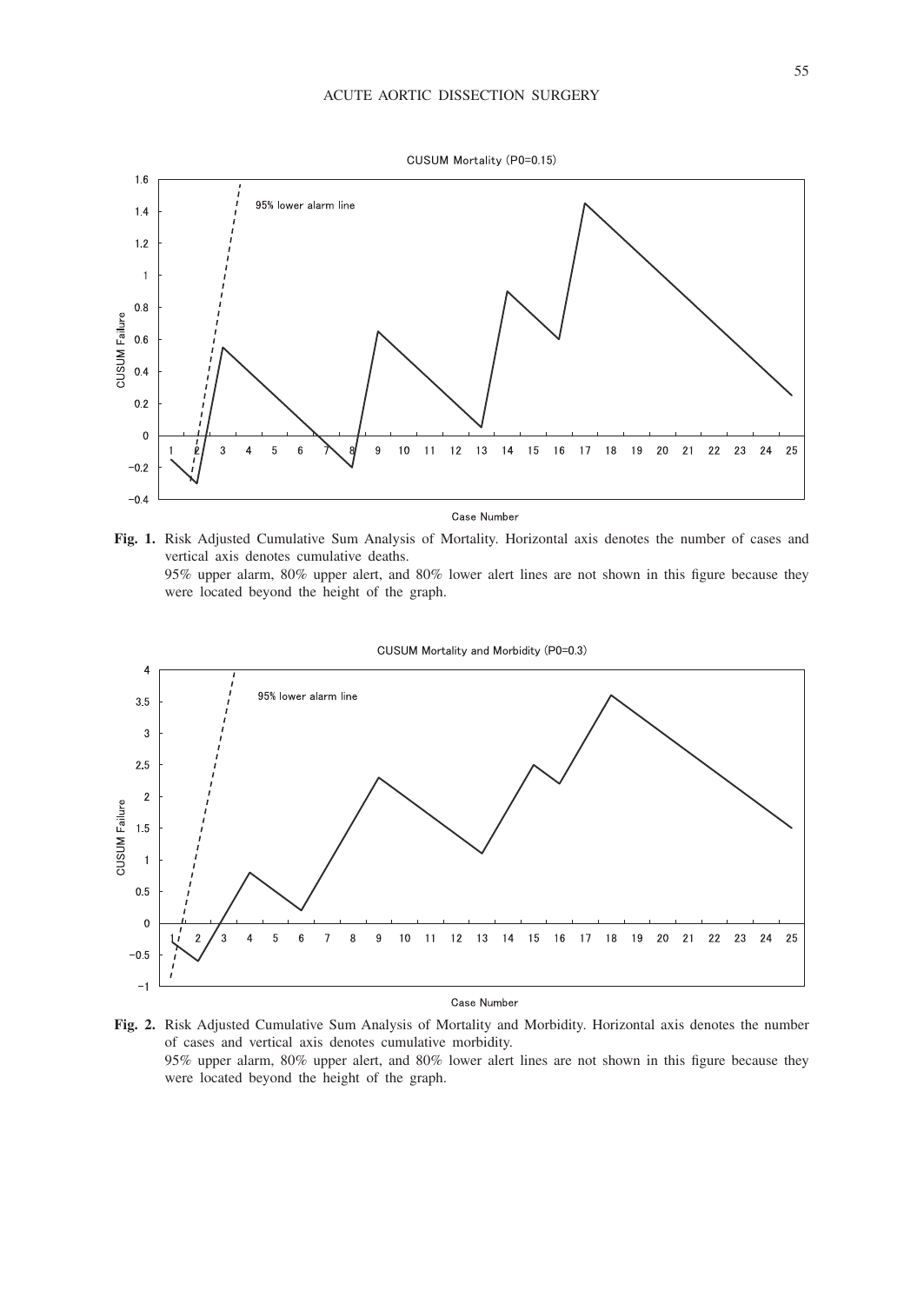

**Fig. 1.** Risk Adjusted Cumulative Sum Analysis of Mortality. Horizontal axis denotes the number of cases and vertical axis denotes cumulative deaths. 95% upper alarm, 80% upper alert, and 80% lower alert lines are not shown in this figure because they were located beyond the height of the graph.



Case Number

**Fig. 2.** Risk Adjusted Cumulative Sum Analysis of Mortality and Morbidity. Horizontal axis denotes the number of cases and vertical axis denotes cumulative morbidity. 95% upper alarm, 80% upper alert, and 80% lower alert lines are not shown in this figure because they were located beyond the height of the graph.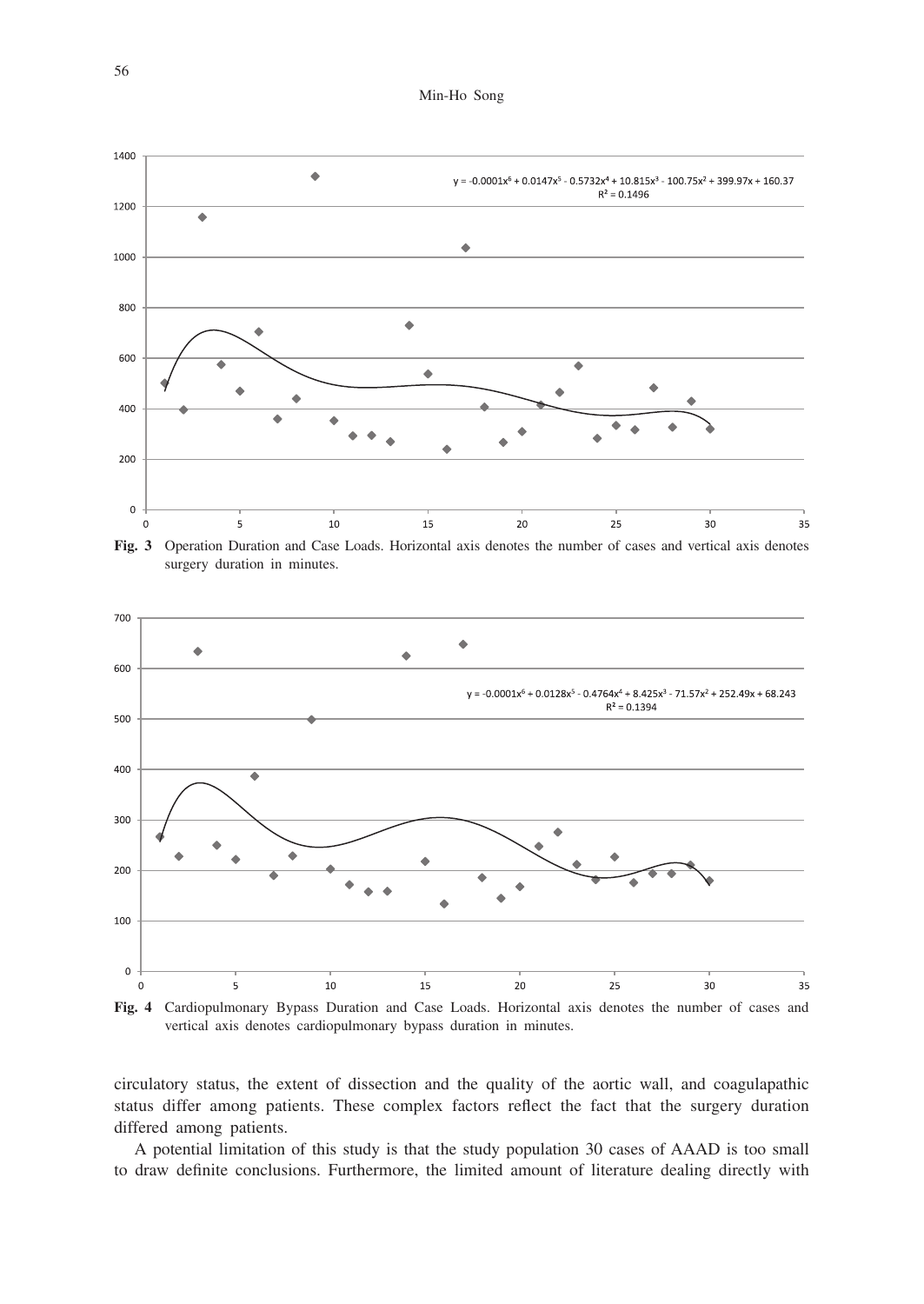Min-Ho Song



surgery duration in minutes.



**Fig. 4** Cardiopulmonary Bypass Duration and Case Loads. Horizontal axis denotes the number of cases and vertical axis denotes cardiopulmonary bypass duration in minutes.

circulatory status, the extent of dissection and the quality of the aortic wall, and coagulapathic status differ among patients. These complex factors reflect the fact that the surgery duration differed among patients.

A potential limitation of this study is that the study population 30 cases of AAAD is too small to draw definite conclusions. Furthermore, the limited amount of literature dealing directly with